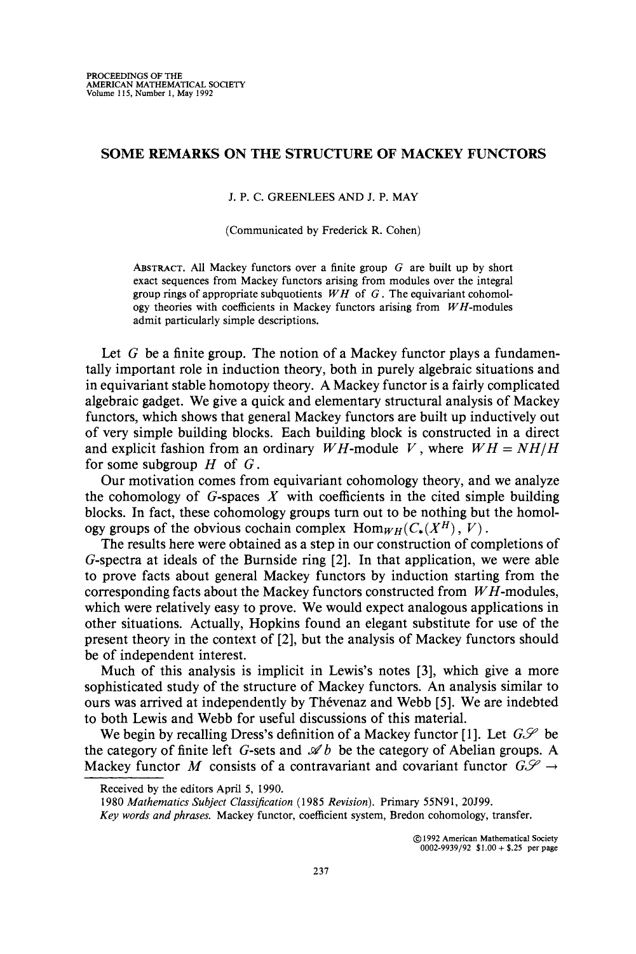## SOME REMARKS ON THE STRUCTURE OF MACKEY FUNCTORS

## J. P. C. GREENLEES AND J. P. MAY

(Communicated by Frederick R. Cohen)

ABSTRACT. All Mackey functors over a finite group  $G$  are built up by short exact sequences from Mackey functors arising from modules over the integral group rings of appropriate subquotients *W H* of G. The equivariant cohomology theories with coefficients in Mackey functors arising from  $WH$ -modules admit particularly simple descriptions.

Let  $G$  be a finite group. The notion of a Mackey functor plays a fundamentally important role in induction theory, both in purely algebraic situations and in equivariant stable homotopy theory. A Mackey functor is a fairly complicated algebraic gadget. We give a quick and elementary structural analysis of Mackey functors, which shows that general Mackey functors are built up inductively out of very simple building blocks. Each building block is constructed in a direct and explicit fashion from an ordinary *WH*-module *V*, where  $WH = NH/H$ for some subgroup  $H$  of  $G$ .

Our motivation comes from equivariant cohomology theory, and we analyze the cohomology of  $G$ -spaces  $X$  with coefficients in the cited simple building blocks. In fact, these cohomology groups tum out to be nothing but the homology groups of the obvious cochain complex  $\text{Hom}_{WH}(C_*(X^H), V)$ .

The results here were obtained as a step in our construction of completions of G-spectra at ideals of the Bumside ring [2]. In that application, we were able to prove facts about general Mackey functors by induction starting from the corresponding facts about the Mackey functors constructed from *W H-modules,* which were relatively easy to prove. We would expect analogous applications in other situations. Actually, Hopkins found an elegant substitute for use of the present theory in the context of [2], but the analysis of Mackey functors should be of independent interest.

Much of this analysis is implicit in Lewis's notes [3], which give a more sophisticated study of the structure of Mackey functors. An analysis similar to ours was arrived at independently by Thevenaz and Webb [5]. We are indebted to both Lewis and Webb for useful discussions of this material.

We begin by recalling Dress's definition of a Mackey functor [1]. Let  $G\mathscr{S}$  be the category of finite left G-sets and  $\mathscr A b$  be the category of Abelian groups. A Mackey functor M consists of a contravariant and covariant functor  $G\mathscr{S} \rightarrow$ 

© 1992 American Mathematical Society 0002-9939/92  $$1.00 + $25$  per page

Received by the editors April 5, 1990.

<sup>1980</sup> Mathematics Subject Classification (1985 Revision). Primary 55N91, 20J99.

*Key words and phrases.* Mackey functor, coefficient system, Bredon cohomology, transfer.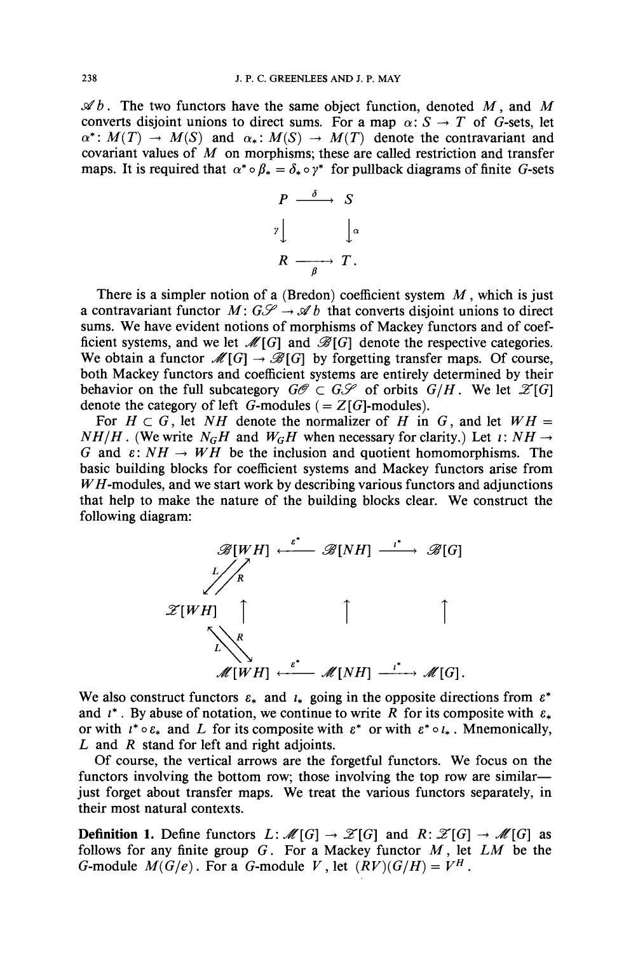$\mathscr{A}b$ . The two functors have the same object function, denoted M, and M converts disjoint unions to direct sums. For a map  $\alpha: S \to T$  of G-sets, let  $\alpha^*: M(T) \to M(S)$  and  $\alpha_*: M(S) \to M(T)$  denote the contravariant and covariant values of *M* on morphisms; these are called restriction and transfer maps. It is required that  $\alpha^* \circ \beta_* = \delta_* \circ \gamma^*$  for pullback diagrams of finite G-sets



There is a simpler notion of a (Bredon) coefficient system *M,* which is just a contravariant functor  $M: G\mathscr{S} \to \mathscr{A}b$  that converts disjoint unions to direct sums. We have evident notions of morphisms of Mackey functors and of coefficient systems, and we let  $\mathcal{M}[G]$  and  $\mathcal{B}[G]$  denote the respective categories. We obtain a functor  $\mathcal{M}[G] \to \mathcal{B}[G]$  by forgetting transfer maps. Of course, both Mackey functors and coefficient systems are entirely determined by their behavior on the full subcategory  $G\mathscr{O} \subset G\mathscr{S}$  of orbits  $G/H$ . We let  $\mathscr{Z}[G]$ denote the category of left G-modules ( $= Z[G]$ -modules).

For  $H \subset G$ , let NH denote the normalizer of H in G, and let  $WH =$  $NH/H$ . (We write  $N_GH$  and  $W_GH$  when necessary for clarity.) Let *i*:  $NH \rightarrow$ G and  $\varepsilon: NH \to WH$  be the inclusion and quotient homomorphisms. The basic building blocks for coefficient systems and Mackey functors arise from *W H* -modules, and we start work by describing various functors and adjunctions that help to make the nature of the building blocks clear. We construct the following diagram:



We also construct functors  $\varepsilon_*$  and  $i_*$  going in the opposite directions from  $\varepsilon^*$ and  $i^*$ . By abuse of notation, we continue to write R for its composite with  $\varepsilon_*$ or with  $i^* \circ \varepsilon_*$  and L for its composite with  $\varepsilon^*$  or with  $\varepsilon^* \circ \iota_*$ . Mnemonically, Land *R* stand for left and right adjoints.

Of course, the vertical arrows are the forgetful functors. We focus on the functors involving the bottom row; those involving the top row are similarjust forget about transfer maps. We treat the various functors separately, in their most natural contexts.

**Definition 1.** Define functors  $L: \mathcal{M}[G] \to \mathcal{Z}[G]$  and  $R: \mathcal{Z}[G] \to \mathcal{M}[G]$  as follows for any finite group  $G$ . For a Mackey functor  $M$ , let  $LM$  be the G-module  $M(G/e)$ . For a G-module V, let  $(RV)(G/H) = V^H$ .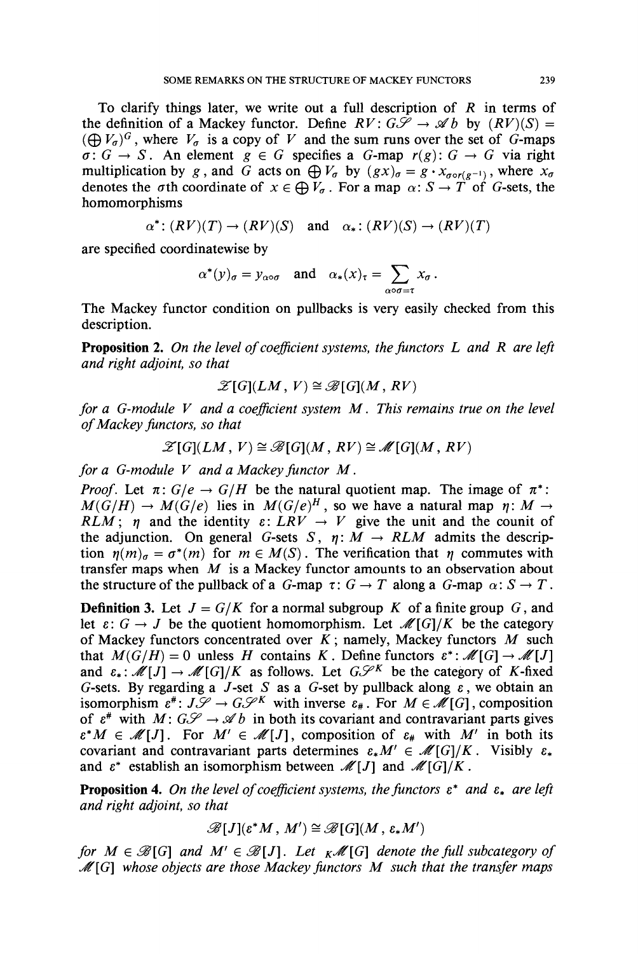To clarify things later, we write out a full description of *R* in terms of the definition of a Mackey functor. Define  $RV: G\mathscr{S} \to \mathscr{A}b$  by  $(RV)(S) =$  $(\bigoplus V_{\sigma})^G$ , where  $V_{\sigma}$  is a copy of V and the sum runs over the set of G-maps  $\sigma: G \to S$ . An element  $g \in G$  specifies a *G*-map  $r(g): G \to G$  via right multiplication by *g*, and *G* acts on  $\bigoplus V_{\sigma}$  by  $(gx)_{\sigma} = g \cdot x_{\sigma \circ r(g^{-1})}$ , where  $x_{\sigma}$ denotes the  $\sigma$ th coordinate of  $x \in \bigoplus V_{\sigma}$ . For a map  $\alpha: S \to T$  of G-sets, the homomorphisms

$$
\alpha^*: (RV)(T) \to (RV)(S)
$$
 and  $\alpha_*: (RV)(S) \to (RV)(T)$ 

are specified coordinatewise by

$$
\alpha^*(y)_{\sigma} = y_{\alpha \circ \sigma}
$$
 and  $\alpha_*(x)_{\tau} = \sum_{\alpha \circ \sigma = \tau} x_{\sigma}$ .

The Mackey functor condition on pullbacks is very easily checked from this description.

Proposition 2. *On the level ofcoefficient systems, the functors Land R are left and right adjoint, so that*

$$
\mathscr{Z}[G](LM, V) \cong \mathscr{B}[G](M, RV)
$$

*for a G-module V and a coefficient system M. This remains true on the level ofMackey functors, so that*

$$
\mathscr{Z}[G](LM, V) \cong \mathscr{B}[G](M, RV) \cong \mathscr{M}[G](M, RV)
$$

*for a G-module V and a Mackey functor M.*

*Proof.* Let  $\pi: G/e \rightarrow G/H$  be the natural quotient map. The image of  $\pi^*$ :  $M(G/H) \to M(G/e)$  lies in  $M(G/e)^{H}$ , so we have a natural map  $\eta: M$ *RLM*;  $\eta$  and the identity  $\varepsilon$ : *LRV*  $\rightarrow$  *V* give the unit and the counit of the adjunction. On general G-sets S,  $n: M \rightarrow RLM$  admits the description  $\eta(m)_{\sigma} = \sigma^*(m)$  for  $m \in M(S)$ . The verification that  $\eta$  commutes with transfer maps when *M* is a Mackey functor amounts to an observation about the structure of the pullback of a G-map  $\tau: G \to T$  along a G-map  $\alpha: S \to T$ .

**Definition 3.** Let  $J = G/K$  for a normal subgroup K of a finite group G, and let  $\varepsilon: G \to J$  be the quotient homomorphism. Let  $\mathcal{M}[G]/K$  be the category of Mackey functors concentrated over  $K$ ; namely, Mackey functors  $M$  such that  $M(G/H) = 0$  unless *H* contains *K*. Define functors  $\varepsilon^*$ :  $\mathcal{M}[G] \to \mathcal{M}[J]$ and  $\varepsilon_*$ :  $\mathcal{M}[J] \to \mathcal{M}[G]/K$  as follows. Let  $G\mathcal{S}^K$  be the category of K-fixed G-sets. By regarding a  $J$ -set  $S$  as a G-set by pullback along  $\varepsilon$ , we obtain an isomorphism  $e^*: J\mathscr{S} \to G\mathscr{S}^K$  with inverse  $e^*$ . For  $M \in \mathscr{M}[G]$ , composition of  $\varepsilon^*$  with  $M: G\mathscr{S} \to \mathscr{A}b$  in both its covariant and contravariant parts gives  $\varepsilon^*M \in \mathcal{M}[J]$ . For  $M' \in \mathcal{M}[J]$ , composition of  $\varepsilon_{\#}$  with  $M'$  in both its covariant and contravariant parts determines  $\varepsilon_* M' \in \mathcal{M}[G]/K$ . Visibly  $\varepsilon_*$ and  $\varepsilon^*$  establish an isomorphism between  $\mathcal{M}[J]$  and  $\mathcal{M}[G]/K$ .

**Proposition 4.** On the level of coefficient systems, the functors  $\varepsilon^*$  and  $\varepsilon_*$  are left *and right adjoint, so that*

$$
\mathscr{B}[J](\varepsilon^*M, M') \cong \mathscr{B}[G](M, \varepsilon_*M')
$$

*for*  $M \in \mathcal{B}[G]$  *and*  $M' \in \mathcal{B}[J]$ . Let  $K\mathcal{M}[G]$  *denote the full subcategory of L[G] whose objects are those Mackey functors M such that the transfer maps*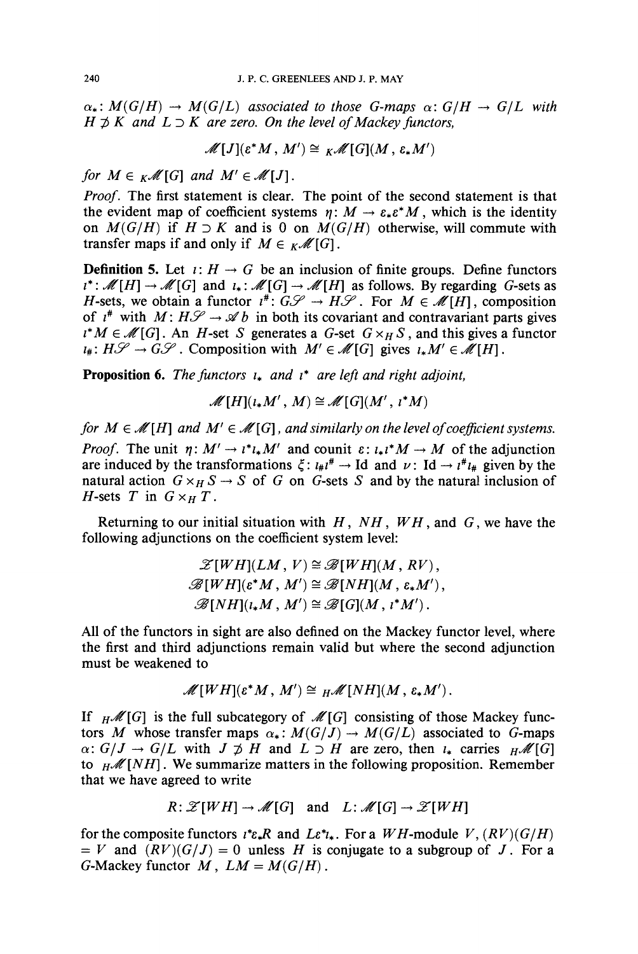$\alpha_*$ :  $M(G/H) \rightarrow M(G/L)$  *associated to those G-maps*  $\alpha: G/H \rightarrow G/L$  *with*  $H \not\supset K$  *and*  $L \supset K$  *are zero. On the level of Mackey functors,* 

$$
\mathscr{M}[J](\varepsilon^*M, M') \cong {}_K\mathscr{M}[G](M, \varepsilon_*M')
$$

*for*  $M \in K\mathcal{M}[G]$  *and*  $M' \in \mathcal{M}[J]$ .

*Proof.* The first statement is clear. The point of the second statement is that the evident map of coefficient systems  $n: M \to \varepsilon_* \varepsilon^* M$ , which is the identity on  $M(G/H)$  if  $H \supset K$  and is 0 on  $M(G/H)$  otherwise, will commute with transfer maps if and only if  $M \in \mathcal{M}[G]$ .

**Definition 5.** Let  $i: H \to G$  be an inclusion of finite groups. Define functors  $\iota^*: \mathcal{M}[H] \to \mathcal{M}[G]$  and  $\iota_*: \mathcal{M}[G] \to \mathcal{M}[H]$  as follows. By regarding G-sets as *H*-sets, we obtain a functor  $i^*$ :  $G\mathcal{S} \rightarrow H\mathcal{S}$ . For  $M \in \mathcal{M}[H]$ , composition of  $i^*$  with  $M: H\mathcal{S} \rightarrow \mathcal{A} b$  in both its covariant and contravariant parts gives  $u^*M \in \mathcal{M}[G]$ . An *H*-set *S* generates a *G*-set  $G \times_H S$ , and this gives a functor  $\iota_{\#}: H\mathscr{S} \to G\mathscr{S}$ . Composition with  $M' \in \mathscr{M}[G]$  gives  $\iota_{\ast}M' \in \mathscr{M}[H]$ .

**Proposition 6.** The functors  $\iota_*$  and  $\iota^*$  are left and right adjoint,

$$
\mathscr{M}[H](\iota_*M',M)\cong \mathscr{M}[G](M',\iota^*M)
$$

*for*  $M \in \mathcal{M}[H]$  *and*  $M' \in \mathcal{M}[G]$ *, and similarly on the level of coefficient systems. Proof.* The unit  $\eta: M' \to \iota^* \iota_* M'$  and counit  $\varepsilon: \iota_* \iota^* M \to M$  of the adjunction are induced by the transformations  $\xi$ :  $u_{\mu}t^{\mu} \rightarrow$  Id and  $\nu$ : Id  $\rightarrow t^{\mu}t_{\mu}$  given by the natural action  $G \times_H S \to S$  of G on G-sets S and by the natural inclusion of *H*-sets *T* in  $G \times_H T$ .

Returning to our initial situation with  $H$ ,  $NH$ ,  $WH$ , and  $G$ , we have the following adjunctions on the coefficient system level:

$$
\mathcal{Z}[WH](LM, V) \cong \mathcal{B}[WH](M, RV),
$$
  

$$
\mathcal{B}[WH](\varepsilon^*M, M') \cong \mathcal{B}[NH](M, \varepsilon_*M'),
$$
  

$$
\mathcal{B}[NH](\iota_*M, M') \cong \mathcal{B}[G](M, \iota^*M').
$$

All of the functors in sight are also defined on the Mackey functor level, where the first and third adjunctions remain valid but where the second adjunction must be weakened to

$$
\mathscr{M}[WH](\varepsilon^*M, M') \cong {}_H\mathscr{M}[NH](M, \varepsilon_*M').
$$

If  $_H\mathcal{M}[G]$  is the full subcategory of  $\mathcal{M}[G]$  consisting of those Mackey functors *M* whose transfer maps  $\alpha_*$ :  $M(G/J) \to M(G/L)$  associated to G-maps  $\alpha: G/J \to G/L$  with  $J \not\supset H$  and  $L \supset H$  are zero, then  $\iota_*$  carries  $H^{\mathscr{M}}[G]$ to  $H \mathcal{M}[NH]$ . We summarize matters in the following proposition. Remember that we have agreed to write

$$
R: \mathscr{Z}[WH] \to \mathscr{M}[G] \quad \text{and} \quad L: \mathscr{M}[G] \to \mathscr{Z}[WH]
$$

for the composite functors  $i^* \varepsilon_* R$  and  $L \varepsilon^* \iota_*$ . For a WH-module V,  $(RV)(G/H)$  $= V$  and  $(RV)(G/J) = 0$  unless *H* is conjugate to a subgroup of *J*. For a G-Mackey functor  $M$ ,  $LM = M(G/H)$ .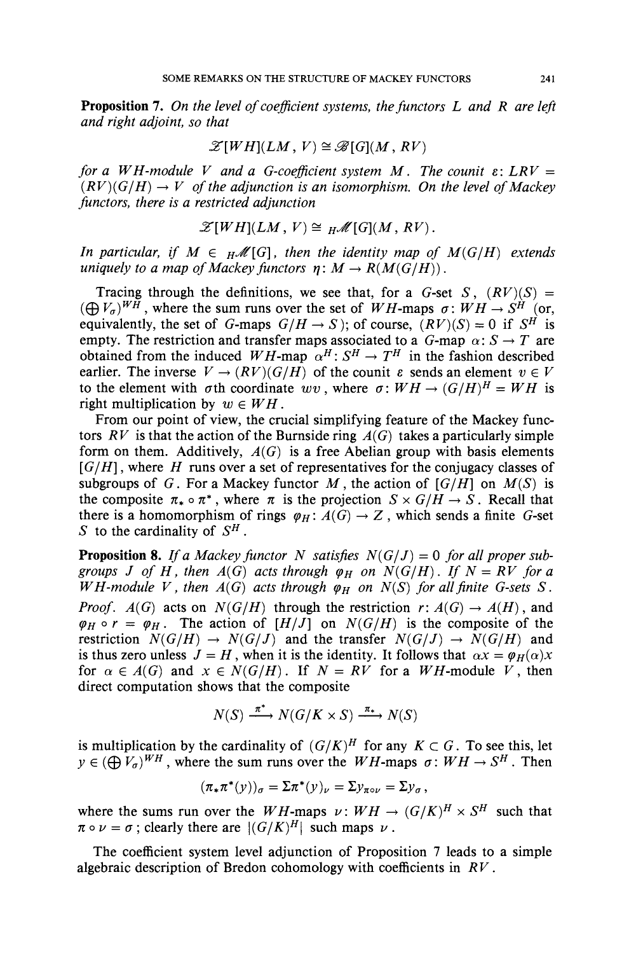**Proposition 7.** On the level of coefficient systems, the functors L and R are left *and right adjoint, so that*

$$
\mathscr{Z}[WH](LM, V) \cong \mathscr{B}[G](M, RV)
$$

*for a*  $WH$ -module V and a G-coefficient system  $M$ . The counit  $\varepsilon$ : LRV =  $(RV)(G/H) \rightarrow V$  *of the adjunction is an isomorphism. On the level of Mackey functors, there is a restricted adjunction*

$$
\mathscr{Z}[WH](LM, V) \cong {}_H\mathscr{M}[G](M, RV).
$$

*In particular, if*  $M \in H^{\mathcal{M}}[G]$ *, then the identity map of*  $M(G/H)$  *extends uniquely to a map of Mackey functors*  $\eta: M \to R(M(G/H))$ .

Tracing through the definitions, we see that, for a  $G$ -set  $S$ ,  $(RV)(S) =$  $((\bigoplus V_{\sigma})^{WH}$ , where the sum runs over the set of *WH*-maps  $\sigma: WH \rightarrow S^H$  (or, equivalently, the set of *G*-maps  $G/H \to S$ ); of course,  $(RV)(S) = 0$  if  $S^H$  is empty. The restriction and transfer maps associated to a  $G$ -map  $\alpha$ :  $S \rightarrow T$  are obtained from the induced *WH*-map  $\alpha^H$ :  $S^H \rightarrow T^H$  in the fashion described earlier. The inverse  $V \to (RV)(G/H)$  of the counit  $\varepsilon$  sends an element  $v \in V$ to the element with  $\sigma$ th coordinate  $wv$ , where  $\sigma: WH \rightarrow (G/H)^H = WH$  is right multiplication by  $w \in WH$ .

From our point of view, the crucial simplifying feature of the Mackey functors  $RV$  is that the action of the Burnside ring  $A(G)$  takes a particularly simple form on them. Additively,  $A(G)$  is a free Abelian group with basis elements  $[G/H]$ , where H runs over a set of representatives for the conjugacy classes of subgroups of G. For a Mackey functor M, the action of  $[G/H]$  on  $M(S)$  is the composite  $\pi_* \circ \pi^*$ , where  $\pi$  is the projection  $S \times G/H \to S$ . Recall that there is a homomorphism of rings  $\varphi_H: A(G) \to Z$ , which sends a finite G-set S to the cardinality of  $S<sup>H</sup>$ .

**Proposition 8.** *If a Mackey functor N satisfies*  $N(G/J) = 0$  *for all proper subgroups J of H*, *then A*(*G*) *acts through*  $\varphi$ <sub>*H*</sub> *on N*(*G*/*H*). *If N* = *RV for a WH-module V*, *then*  $A(G)$  *acts through*  $\varphi_H$  *on*  $N(S)$  *for all finite G-sets S*. *Proof.*  $A(G)$  acts on  $N(G/H)$  through the restriction  $r: A(G) \rightarrow A(H)$ , and  $\varphi_H \circ r = \varphi_H$ . The action of  $[H/J]$  on  $N(G/H)$  is the composite of the restriction  $N(G/H) \to N(G/J)$  and the transfer  $N(G/J) \to N(G/H)$  and is thus zero unless  $J = H$ , when it is the identity. It follows that  $\alpha x = \varphi_H(\alpha)x$ for  $\alpha \in A(G)$  and  $x \in N(G/H)$ . If  $N = RV$  for a WH-module V, then direct computation shows that the composite

$$
N(S) \xrightarrow{\pi^*} N(G/K \times S) \xrightarrow{\pi_*} N(S)
$$

is multiplication by the cardinality of  $(G/K)^H$  for any  $K \subset G$ . To see this, let  $y \in (\bigoplus V_a)^{WH}$ , where the sum runs over the *WH*-maps  $\sigma: WH \to S^H$ . Then

$$
(\pi_*\pi^*(y))_{\sigma}=\Sigma\pi^*(y)_{\nu}=\Sigma y_{\pi\circ\nu}=\Sigma y_{\sigma},
$$

where the sums run over the *WH*-maps  $\nu$ :  $WH \rightarrow (G/K)^H \times S^H$  such that  $\pi \circ \nu = \sigma$ ; clearly there are  $|(G/K)^H|$  such maps  $\nu$ .

The coefficient system level adjunction of Proposition 7 leads to a simple algebraic description of Bredon cohomology with coefficients in *RV.*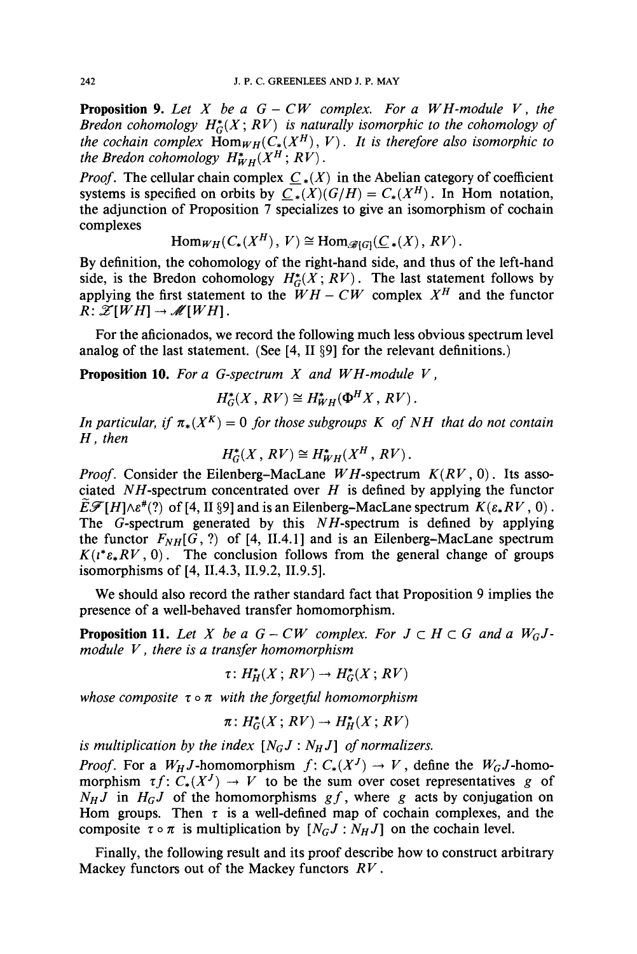**Proposition 9.** Let X be a  $G - CW$  complex. For a WH-module V, the Bredon cohomology  $H^*_{G}(X; RV)$  is naturally isomorphic to the cohomology of the cochain complex  $\operatorname{Hom}_{WH}(C_*(X^H), V)$ . It is therefore also isomorphic to the Bredon cohomology  $H^*_{WH}(X^H; RV)$ .

*Proof.* The cellular chain complex  $C_*(X)$  in the Abelian category of coefficient systems is specified on orbits by  $C_{\star}(X)(G/H) = C_{\star}(X^{H})$ . In Hom notation, the adjunction of Proposition 7 specializes to give an isomorphism of cochain complexes

$$
\mathrm{Hom}_{WH}(C_*(X^H), V) \cong \mathrm{Hom}_{\mathscr{B}[G]}(\underline{C}_*(X), RV).
$$

By definition, the cohomology of the right-hand side, and thus of the left-hand side, is the Bredon cohomology  $H_G^*(X; RV)$ . The last statement follows by applying the first statement to the  $\ddot{W}H - CW$  complex  $X^H$  and the functor  $R: \mathscr{Z}[WH] \rightarrow \mathscr{M}[WH]$ .

For the aficionados, we record the following much less obvious spectrum level analog of the last statement. (See [4, II §9] for the relevant definitions.)

**Proposition 10.** For a G-spectrum  $X$  and  $WH$ -module  $V$ ,

$$
H_G^*(X, RV) \cong H_{WH}^*(\Phi^H X, RV).
$$

In particular, if  $\pi_*(X^K) = 0$  for those subgroups K of NH that do not contain H, then

$$
H_G^*(X, RV) \cong H_{WH}^*(X^H, RV).
$$

*Proof.* Consider the Eilenberg-MacLane WH-spectrum  $K(RV, 0)$ . Its associated *N H*-spectrum concentrated over *H* is defined by applying the functor  $\widehat{E\mathscr{F}}[H]\wedge \varepsilon^*(?)$  of [4, II §9] and is an Eilenberg-MacLane spectrum  $K(\varepsilon_*RV, 0)$ . The G-spectrum generated by this *N H*-spectrum is defined by applying the functor  $F_{NH}[G,?)$  of [4, II.4.1] and is an Eilenberg-MacLane spectrum  $K(t^* \varepsilon_* R V, 0)$ . The conclusion follows from the general change of groups isomorphisms of [4, 11.4.3, 11.9.2, 11.9.5].

We should also record the rather standard fact that Proposition 9 implies the presence of a well-behaved transfer homomorphism.

**Proposition 11.** Let X be a  $G - CW$  complex. For  $J \subset H \subset G$  and a  $W_GJ$ module  $V$ , there is a transfer homomorphism

$$
\tau\colon H_H^*(X\,;\,RV)\to H_G^*(X\,;\,RV)
$$

whose composite  $\tau \circ \pi$  with the forgetful homomorphism

$$
\pi\colon H^*_G(X\,;\,RV)\to H^*_H(X\,;\,RV)
$$

is multiplication by the index  $[N_GJ:N_HJ]$  of normalizers.

*Proof.* For a  $W_H J$ -homomorphism  $f: C_*(X^J) \to V$ , define the  $W_G J$ -homomorphism  $\tau f: C_*(X^J) \to V$  to be the sum over coset representatives g of  $N_HJ$  in  $H_GJ$  of the homomorphisms gf, where g acts by conjugation on Hom groups. Then  $\tau$  is a well-defined map of cochain complexes, and the composite  $\tau \circ \pi$  is multiplication by  $[N_GJ:N_HJ]$  on the cochain level.

Finally, the following result and its proof describe how to construct arbitrary Mackey functors out of the Mackey functors  $RV$ .